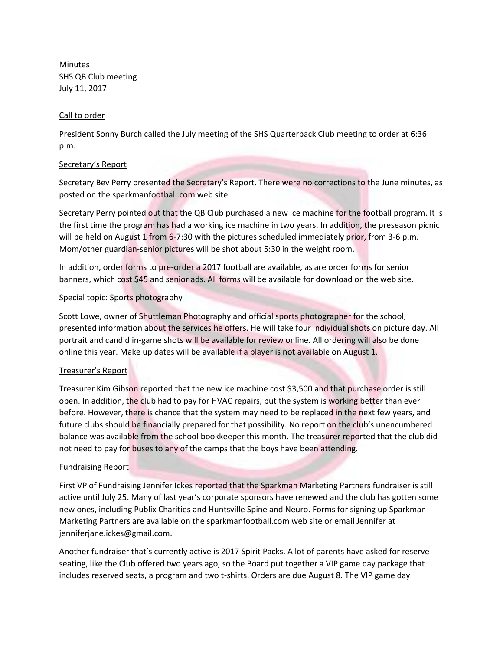Minutes SHS QB Club meeting July 11, 2017

#### Call to order

President Sonny Burch called the July meeting of the SHS Quarterback Club meeting to order at 6:36 p.m.

## Secretary's Report

Secretary Bev Perry presented the Secretary's Report. There were no corrections to the June minutes, as posted on the sparkmanfootball.com web site.

Secretary Perry pointed out that the QB Club purchased a new ice machine for the football program. It is the first time the program has had a working ice machine in two years. In addition, the preseason picnic will be held on August 1 from 6-7:30 with the pictures scheduled immediately prior, from 3-6 p.m. Mom/other guardian-senior pictures will be shot about 5:30 in the weight room.

In addition, order forms to pre-order a 2017 football are available, as are order forms for senior banners, which cost \$45 and senior ads. All forms will be available for download on the web site.

## Special topic: Sports photography

Scott Lowe, owner of Shuttleman Photography and official sports photographer for the school, presented information about the services he offers. He will take four individual shots on picture day. All portrait and candid in-game shots will be available for review online. All ordering will also be done online this year. Make up dates will be available if a player is not available on August 1.

# Treasurer's Report

Treasurer Kim Gibson reported that the new ice machine cost \$3,500 and that purchase order is still open. In addition, the club had to pay for HVAC repairs, but the system is working better than ever before. However, there is chance that the system may need to be replaced in the next few years, and future clubs should be financially prepared for that possibility. No report on the club's unencumbered balance was available from the school bookkeeper this month. The treasurer reported that the club did not need to pay for buses to any of the camps that the boys have been attending.

#### Fundraising Report

First VP of Fundraising Jennifer Ickes reported that the Sparkman Marketing Partners fundraiser is still active until July 25. Many of last year's corporate sponsors have renewed and the club has gotten some new ones, including Publix Charities and Huntsville Spine and Neuro. Forms for signing up Sparkman Marketing Partners are available on the sparkmanfootball.com web site or email Jennifer at jenniferjane.ickes@gmail.com.

Another fundraiser that's currently active is 2017 Spirit Packs. A lot of parents have asked for reserve seating, like the Club offered two years ago, so the Board put together a VIP game day package that includes reserved seats, a program and two t-shirts. Orders are due August 8. The VIP game day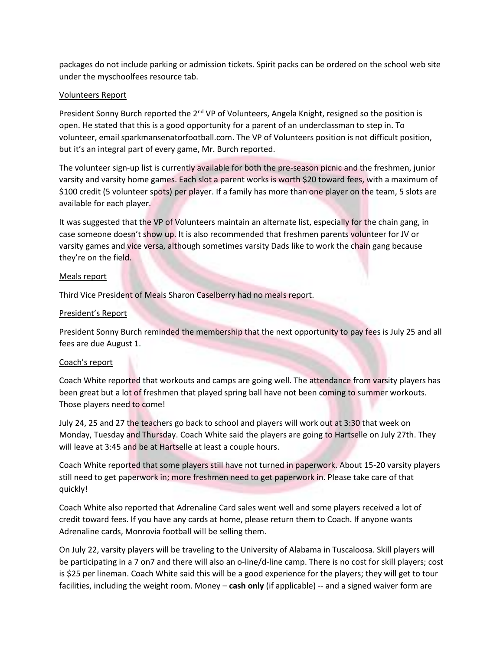packages do not include parking or admission tickets. Spirit packs can be ordered on the school web site under the myschoolfees resource tab.

### Volunteers Report

President Sonny Burch reported the  $2^{nd}$  VP of Volunteers, Angela Knight, resigned so the position is open. He stated that this is a good opportunity for a parent of an underclassman to step in. To volunteer, email sparkmansenatorfootball.com. The VP of Volunteers position is not difficult position, but it's an integral part of every game, Mr. Burch reported.

The volunteer sign-up list is currently available for both the pre-season picnic and the freshmen, junior varsity and varsity home games. Each slot a parent works is worth \$20 toward fees, with a maximum of \$100 credit (5 volunteer spots) per player. If a family has more than one player on the team, 5 slots are available for each player.

It was suggested that the VP of Volunteers maintain an alternate list, especially for the chain gang, in case someone doesn't show up. It is also recommended that freshmen parents volunteer for JV or varsity games and vice versa, although sometimes varsity Dads like to work the chain gang because they're on the field.

#### Meals report

Third Vice President of Meals Sharon Caselberry had no meals report.

## President's Report

President Sonny Burch reminded the membership that the next opportunity to pay fees is July 25 and all fees are due August 1.

#### Coach's report

Coach White reported that workouts and camps are going well. The attendance from varsity players has been great but a lot of freshmen that played spring ball have not been coming to summer workouts. Those players need to come!

July 24, 25 and 27 the teachers go back to school and players will work out at 3:30 that week on Monday, Tuesday and Thursday. Coach White said the players are going to Hartselle on July 27th. They will leave at 3:45 and be at Hartselle at least a couple hours.

Coach White reported that some players still have not turned in paperwork. About 15-20 varsity players still need to get paperwork in; more freshmen need to get paperwork in. Please take care of that quickly!

Coach White also reported that Adrenaline Card sales went well and some players received a lot of credit toward fees. If you have any cards at home, please return them to Coach. If anyone wants Adrenaline cards, Monrovia football will be selling them.

On July 22, varsity players will be traveling to the University of Alabama in Tuscaloosa. Skill players will be participating in a 7 on7 and there will also an o-line/d-line camp. There is no cost for skill players; cost is \$25 per lineman. Coach White said this will be a good experience for the players; they will get to tour facilities, including the weight room. Money – **cash only** (if applicable) -- and a signed waiver form are